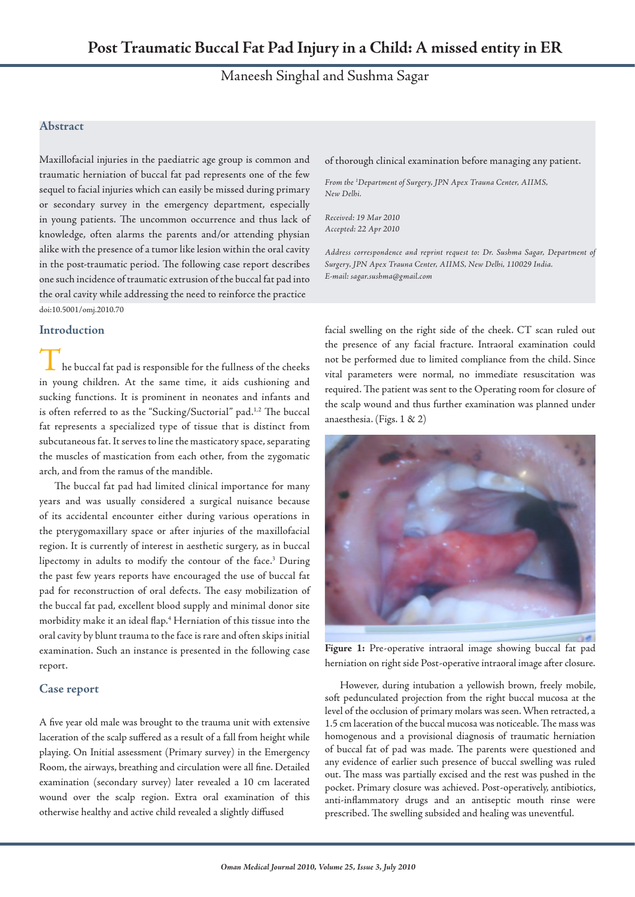# Maneesh Singhal and Sushma Sagar

## **Abstract**

Maxillofacial injuries in the paediatric age group is common and traumatic herniation of buccal fat pad represents one of the few sequel to facial injuries which can easily be missed during primary or secondary survey in the emergency department, especially in young patients. The uncommon occurrence and thus lack of knowledge, often alarms the parents and/or attending physian alike with the presence of a tumor like lesion within the oral cavity in the post-traumatic period. The following case report describes one such incidence of traumatic extrusion of the buccal fat pad into the oral cavity while addressing the need to reinforce the practice doi:10.5001/omj.2010.70

#### **Introduction**

he buccal fat pad is responsible for the fullness of the cheeks in young children. At the same time, it aids cushioning and sucking functions. It is prominent in neonates and infants and is often referred to as the "Sucking/Suctorial" pad.<sup>1,2</sup> The buccal fat represents a specialized type of tissue that is distinct from subcutaneous fat. It serves to line the masticatory space, separating the muscles of mastication from each other, from the zygomatic arch, and from the ramus of the mandible.

The buccal fat pad had limited clinical importance for many years and was usually considered a surgical nuisance because of its accidental encounter either during various operations in the pterygomaxillary space or after injuries of the maxillofacial region. It is currently of interest in aesthetic surgery, as in buccal lipectomy in adults to modify the contour of the face.<sup>3</sup> During the past few years reports have encouraged the use of buccal fat pad for reconstruction of oral defects. The easy mobilization of the buccal fat pad, excellent blood supply and minimal donor site morbidity make it an ideal flap.4 Herniation of this tissue into the oral cavity by blunt trauma to the face is rare and often skips initial examination. Such an instance is presented in the following case report.

## **Case report**

A five year old male was brought to the trauma unit with extensive laceration of the scalp suffered as a result of a fall from height while playing. On Initial assessment (Primary survey) in the Emergency Room, the airways, breathing and circulation were all fine. Detailed examination (secondary survey) later revealed a 10 cm lacerated wound over the scalp region. Extra oral examination of this otherwise healthy and active child revealed a slightly diffused

of thorough clinical examination before managing any patient.

*From the 1 Department of Surgery, JPN Apex Trauna Center, AIIMS, New Delhi.*

*Received: 19 Mar 2010 Accepted: 22 Apr 2010*

*Address correspondence and reprint request to: Dr. Sushma Sagar, Department of Surgery, JPN Apex Trauna Center, AIIMS, New Delhi, 110029 India. E-mail: sagar.sushma@gmail.com*

facial swelling on the right side of the cheek. CT scan ruled out the presence of any facial fracture. Intraoral examination could not be performed due to limited compliance from the child. Since vital parameters were normal, no immediate resuscitation was required. The patient was sent to the Operating room for closure of the scalp wound and thus further examination was planned under anaesthesia. (Figs. 1 & 2)



**Figure 1:** Pre-operative intraoral image showing buccal fat pad herniation on right side Post-operative intraoral image after closure.

However, during intubation a yellowish brown, freely mobile, soft pedunculated projection from the right buccal mucosa at the level of the occlusion of primary molars was seen. When retracted, a 1.5 cm laceration of the buccal mucosa was noticeable. The mass was homogenous and a provisional diagnosis of traumatic herniation of buccal fat of pad was made. The parents were questioned and any evidence of earlier such presence of buccal swelling was ruled out. The mass was partially excised and the rest was pushed in the pocket. Primary closure was achieved. Post-operatively, antibiotics, anti-inflammatory drugs and an antiseptic mouth rinse were prescribed. The swelling subsided and healing was uneventful.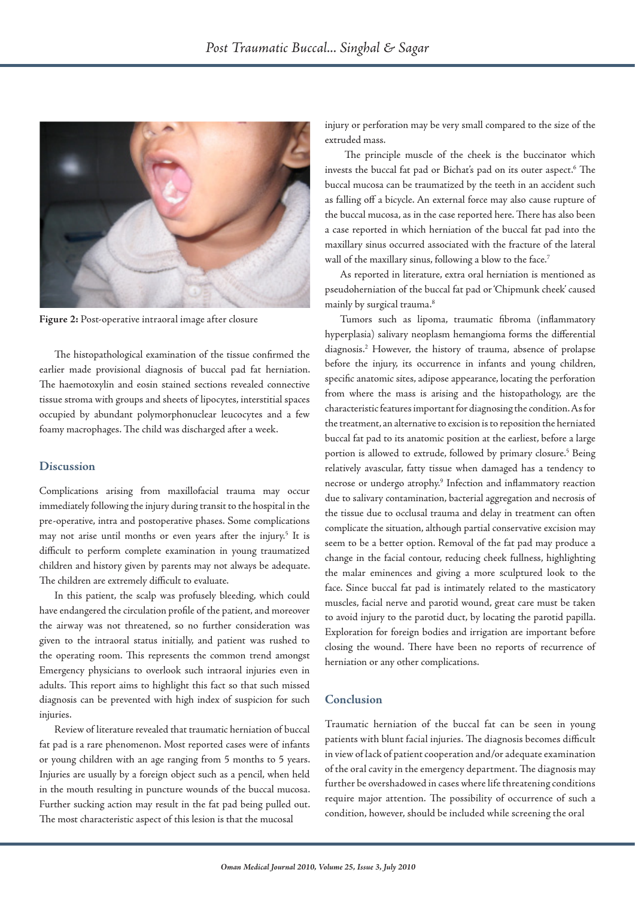

**Figure 2:** Post-operative intraoral image after closure

The histopathological examination of the tissue confirmed the earlier made provisional diagnosis of buccal pad fat herniation. The haemotoxylin and eosin stained sections revealed connective tissue stroma with groups and sheets of lipocytes, interstitial spaces occupied by abundant polymorphonuclear leucocytes and a few foamy macrophages. The child was discharged after a week.

#### **Discussion**

Complications arising from maxillofacial trauma may occur immediately following the injury during transit to the hospital in the pre-operative, intra and postoperative phases. Some complications may not arise until months or even years after the injury.<sup>5</sup> It is difficult to perform complete examination in young traumatized children and history given by parents may not always be adequate. The children are extremely difficult to evaluate.

In this patient, the scalp was profusely bleeding, which could have endangered the circulation profile of the patient, and moreover the airway was not threatened, so no further consideration was given to the intraoral status initially, and patient was rushed to the operating room. This represents the common trend amongst Emergency physicians to overlook such intraoral injuries even in adults. This report aims to highlight this fact so that such missed diagnosis can be prevented with high index of suspicion for such injuries.

Review of literature revealed that traumatic herniation of buccal fat pad is a rare phenomenon. Most reported cases were of infants or young children with an age ranging from 5 months to 5 years. Injuries are usually by a foreign object such as a pencil, when held in the mouth resulting in puncture wounds of the buccal mucosa. Further sucking action may result in the fat pad being pulled out. The most characteristic aspect of this lesion is that the mucosal

injury or perforation may be very small compared to the size of the extruded mass.

 The principle muscle of the cheek is the buccinator which invests the buccal fat pad or Bichat's pad on its outer aspect.6 The buccal mucosa can be traumatized by the teeth in an accident such as falling off a bicycle. An external force may also cause rupture of the buccal mucosa, as in the case reported here. There has also been a case reported in which herniation of the buccal fat pad into the maxillary sinus occurred associated with the fracture of the lateral wall of the maxillary sinus, following a blow to the face.<sup>7</sup>

As reported in literature, extra oral herniation is mentioned as pseudoherniation of the buccal fat pad or 'Chipmunk cheek' caused mainly by surgical trauma.8

Tumors such as lipoma, traumatic fibroma (inflammatory hyperplasia) salivary neoplasm hemangioma forms the differential diagnosis.2 However, the history of trauma, absence of prolapse before the injury, its occurrence in infants and young children, specific anatomic sites, adipose appearance, locating the perforation from where the mass is arising and the histopathology, are the characteristic features important for diagnosing the condition. As for the treatment, an alternative to excision is to reposition the herniated buccal fat pad to its anatomic position at the earliest, before a large portion is allowed to extrude, followed by primary closure.<sup>5</sup> Being relatively avascular, fatty tissue when damaged has a tendency to necrose or undergo atrophy.<sup>9</sup> Infection and inflammatory reaction due to salivary contamination, bacterial aggregation and necrosis of the tissue due to occlusal trauma and delay in treatment can often complicate the situation, although partial conservative excision may seem to be a better option. Removal of the fat pad may produce a change in the facial contour, reducing cheek fullness, highlighting the malar eminences and giving a more sculptured look to the face. Since buccal fat pad is intimately related to the masticatory muscles, facial nerve and parotid wound, great care must be taken to avoid injury to the parotid duct, by locating the parotid papilla. Exploration for foreign bodies and irrigation are important before closing the wound. There have been no reports of recurrence of herniation or any other complications.

## **Conclusion**

Traumatic herniation of the buccal fat can be seen in young patients with blunt facial injuries. The diagnosis becomes difficult in view of lack of patient cooperation and/or adequate examination of the oral cavity in the emergency department. The diagnosis may further be overshadowed in cases where life threatening conditions require major attention. The possibility of occurrence of such a condition, however, should be included while screening the oral